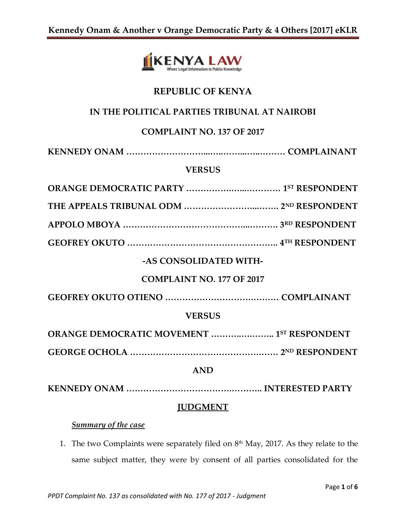

# **REPUBLIC OF KENYA**

# **IN THE POLITICAL PARTIES TRIBUNAL AT NAIROBI**

## **COMPLAINT NO. 137 OF 2017**

### **VERSUS**

| <b>-AS CONSOLIDATED WITH-</b>              |  |  |
|--------------------------------------------|--|--|
| <b>COMPLAINT NO. 177 OF 2017</b>           |  |  |
|                                            |  |  |
| <b>VERSUS</b>                              |  |  |
| ORANGE DEMOCRATIC MOVEMENT  1ST RESPONDENT |  |  |
|                                            |  |  |
| <b>AND</b>                                 |  |  |
|                                            |  |  |

## **JUDGMENT**

## *Summary of the case*

1. The two Complaints were separately filed on  $8<sup>th</sup>$  May, 2017. As they relate to the same subject matter, they were by consent of all parties consolidated for the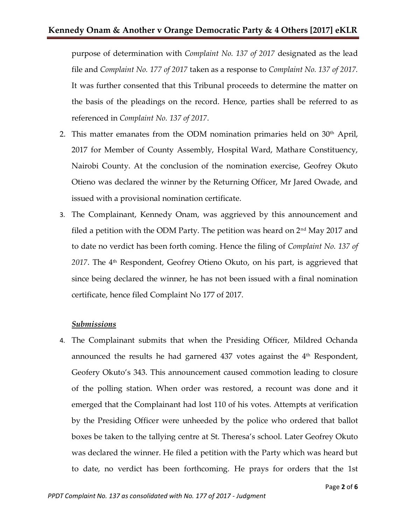purpose of determination with *Complaint No. 137 of 2017* designated as the lead file and *Complaint No. 177 of 2017* taken as a response to *Complaint No. 137 of 2017.* It was further consented that this Tribunal proceeds to determine the matter on the basis of the pleadings on the record. Hence, parties shall be referred to as referenced in *Complaint No. 137 of 2017*.

- 2. This matter emanates from the ODM nomination primaries held on  $30<sup>th</sup>$  April, 2017 for Member of County Assembly, Hospital Ward, Mathare Constituency, Nairobi County. At the conclusion of the nomination exercise, Geofrey Okuto Otieno was declared the winner by the Returning Officer, Mr Jared Owade, and issued with a provisional nomination certificate.
- 3. The Complainant, Kennedy Onam, was aggrieved by this announcement and filed a petition with the ODM Party. The petition was heard on  $2<sup>nd</sup>$  May 2017 and to date no verdict has been forth coming. Hence the filing of *Complaint No. 137 of 2017*. The 4th Respondent, Geofrey Otieno Okuto, on his part, is aggrieved that since being declared the winner, he has not been issued with a final nomination certificate, hence filed Complaint No 177 of 2017.

### *Submissions*

4. The Complainant submits that when the Presiding Officer, Mildred Ochanda announced the results he had garnered 437 votes against the 4<sup>th</sup> Respondent, Geofery Okuto's 343. This announcement caused commotion leading to closure of the polling station. When order was restored, a recount was done and it emerged that the Complainant had lost 110 of his votes. Attempts at verification by the Presiding Officer were unheeded by the police who ordered that ballot boxes be taken to the tallying centre at St. Theresa's school. Later Geofrey Okuto was declared the winner. He filed a petition with the Party which was heard but to date, no verdict has been forthcoming. He prays for orders that the 1st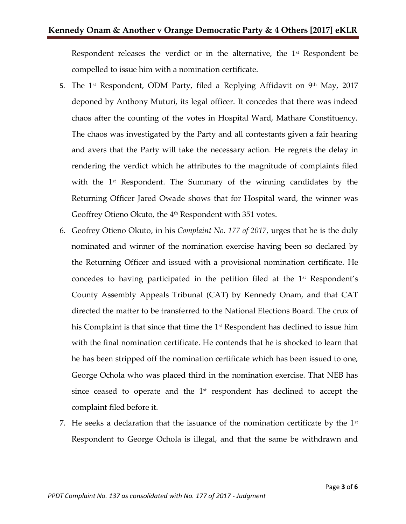Respondent releases the verdict or in the alternative, the  $1<sup>st</sup>$  Respondent be compelled to issue him with a nomination certificate.

- 5. The 1<sup>st</sup> Respondent, ODM Party, filed a Replying Affidavit on 9<sup>th</sup> May, 2017 deponed by Anthony Muturi, its legal officer. It concedes that there was indeed chaos after the counting of the votes in Hospital Ward, Mathare Constituency. The chaos was investigated by the Party and all contestants given a fair hearing and avers that the Party will take the necessary action. He regrets the delay in rendering the verdict which he attributes to the magnitude of complaints filed with the  $1<sup>st</sup>$  Respondent. The Summary of the winning candidates by the Returning Officer Jared Owade shows that for Hospital ward, the winner was Geoffrey Otieno Okuto, the  $4<sup>th</sup>$  Respondent with 351 votes.
- 6. Geofrey Otieno Okuto, in his *Complaint No. 177 of 2017*, urges that he is the duly nominated and winner of the nomination exercise having been so declared by the Returning Officer and issued with a provisional nomination certificate. He concedes to having participated in the petition filed at the 1<sup>st</sup> Respondent's County Assembly Appeals Tribunal (CAT) by Kennedy Onam, and that CAT directed the matter to be transferred to the National Elections Board. The crux of his Complaint is that since that time the  $1^\text{st}$  Respondent has declined to issue him with the final nomination certificate. He contends that he is shocked to learn that he has been stripped off the nomination certificate which has been issued to one, George Ochola who was placed third in the nomination exercise. That NEB has since ceased to operate and the 1<sup>st</sup> respondent has declined to accept the complaint filed before it.
- 7. He seeks a declaration that the issuance of the nomination certificate by the  $1<sup>st</sup>$ Respondent to George Ochola is illegal, and that the same be withdrawn and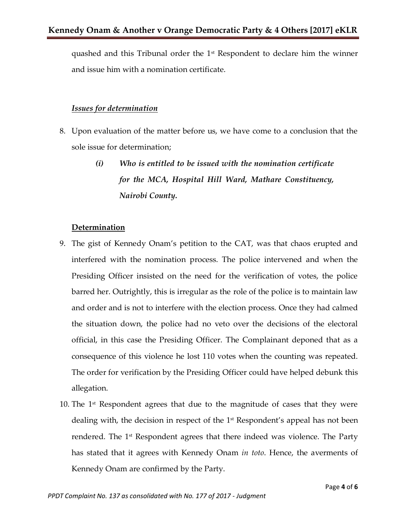quashed and this Tribunal order the  $1<sup>st</sup>$  Respondent to declare him the winner and issue him with a nomination certificate.

#### *Issues for determination*

- 8. Upon evaluation of the matter before us, we have come to a conclusion that the sole issue for determination;
	- *(i) Who is entitled to be issued with the nomination certificate for the MCA, Hospital Hill Ward, Mathare Constituency, Nairobi County.*

#### **Determination**

- 9. The gist of Kennedy Onam's petition to the CAT, was that chaos erupted and interfered with the nomination process. The police intervened and when the Presiding Officer insisted on the need for the verification of votes, the police barred her. Outrightly, this is irregular as the role of the police is to maintain law and order and is not to interfere with the election process. Once they had calmed the situation down, the police had no veto over the decisions of the electoral official, in this case the Presiding Officer. The Complainant deponed that as a consequence of this violence he lost 110 votes when the counting was repeated. The order for verification by the Presiding Officer could have helped debunk this allegation.
- 10. The  $1<sup>st</sup>$  Respondent agrees that due to the magnitude of cases that they were dealing with, the decision in respect of the 1<sup>st</sup> Respondent's appeal has not been rendered. The 1st Respondent agrees that there indeed was violence. The Party has stated that it agrees with Kennedy Onam *in toto*. Hence, the averments of Kennedy Onam are confirmed by the Party.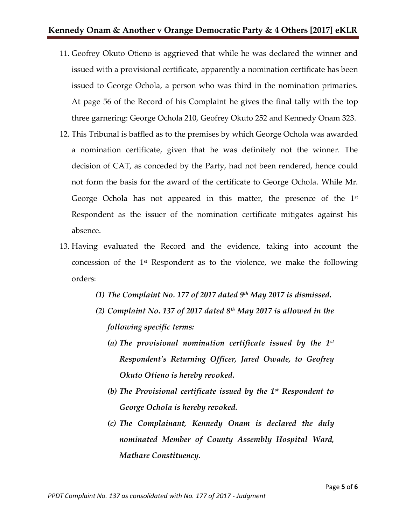- 11. Geofrey Okuto Otieno is aggrieved that while he was declared the winner and issued with a provisional certificate, apparently a nomination certificate has been issued to George Ochola, a person who was third in the nomination primaries. At page 56 of the Record of his Complaint he gives the final tally with the top three garnering: George Ochola 210, Geofrey Okuto 252 and Kennedy Onam 323.
- 12. This Tribunal is baffled as to the premises by which George Ochola was awarded a nomination certificate, given that he was definitely not the winner. The decision of CAT, as conceded by the Party, had not been rendered, hence could not form the basis for the award of the certificate to George Ochola. While Mr. George Ochola has not appeared in this matter, the presence of the  $1<sup>st</sup>$ Respondent as the issuer of the nomination certificate mitigates against his absence.
- 13. Having evaluated the Record and the evidence, taking into account the concession of the  $1<sup>st</sup>$  Respondent as to the violence, we make the following orders:
	- *(1) The Complaint No. 177 of 2017 dated 9th May 2017 is dismissed.*
	- *(2) Complaint No. 137 of 2017 dated 8th May 2017 is allowed in the following specific terms:*
		- *(a) The provisional nomination certificate issued by the 1st Respondent's Returning Officer, Jared Owade, to Geofrey Okuto Otieno is hereby revoked.*
		- *(b) The Provisional certificate issued by the 1st Respondent to George Ochola is hereby revoked.*
		- *(c) The Complainant, Kennedy Onam is declared the duly nominated Member of County Assembly Hospital Ward, Mathare Constituency.*